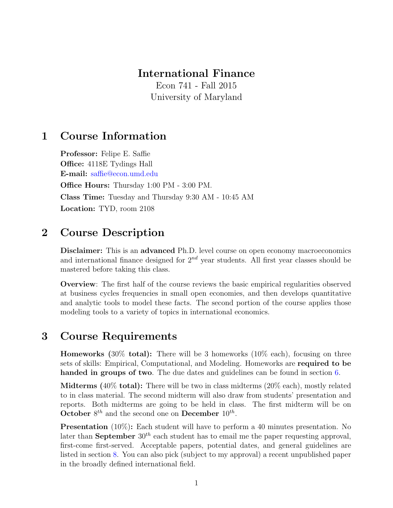### International Finance

Econ 741 - Fall 2015 University of Maryland

## 1 Course Information

Professor: Felipe E. Saffie Office: 4118E Tydings Hall E-mail: [saffie@econ.umd.edu](mailto:saffie@econ.umd.edu) Office Hours: Thursday 1:00 PM - 3:00 PM. Class Time: Tuesday and Thursday 9:30 AM - 10:45 AM Location: TYD, room 2108

# 2 Course Description

Disclaimer: This is an advanced Ph.D. level course on open economy macroeconomics and international finance designed for  $2^{nd}$  year students. All first year classes should be mastered before taking this class.

Overview: The first half of the course reviews the basic empirical regularities observed at business cycles frequencies in small open economies, and then develops quantitative and analytic tools to model these facts. The second portion of the course applies those modeling tools to a variety of topics in international economics.

## 3 Course Requirements

**Homeworks** (30% **total):** There will be 3 homeworks (10% each), focusing on three sets of skills: Empirical, Computational, and Modeling. Homeworks are required to be handed in groups of two. The due dates and guidelines can be found in section [6.](#page-5-0)

Midterms (40% total): There will be two in class midterms (20% each), mostly related to in class material. The second midterm will also draw from students' presentation and reports. Both midterms are going to be held in class. The first midterm will be on October  $8^{th}$  and the second one on December  $10^{th}$ .

Presentation (10%): Each student will have to perform a 40 minutes presentation. No later than **September**  $30<sup>th</sup>$  each student has to email me the paper requesting approval, first-come first-served. Acceptable papers, potential dates, and general guidelines are listed in section [8.](#page-6-0) You can also pick (subject to my approval) a recent unpublished paper in the broadly defined international field.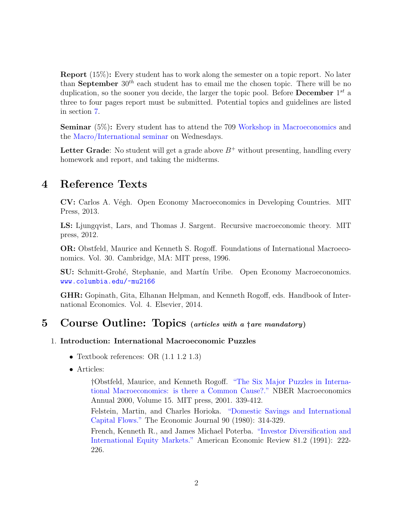Report (15%): Every student has to work along the semester on a topic report. No later than September  $30<sup>th</sup>$  each student has to email me the chosen topic. There will be no duplication, so the sooner you decide, the larger the topic pool. Before **December**  $1^{st}$  a three to four pages report must be submitted. Potential topics and guidelines are listed in section [7.](#page-6-1)

Seminar (5%): Every student has to attend the 709 [Workshop in Macroeconomics](http://www.econ.umd.edu/about/ECON709) and the [Macro/International seminar](http://econweb.umd.edu/~webspace/aruoba/workshop.html) on Wednesdays.

Letter Grade: No student will get a grade above  $B^+$  without presenting, handling every homework and report, and taking the midterms.

### 4 Reference Texts

CV: Carlos A. Végh. Open Economy Macroeconomics in Developing Countries. MIT Press, 2013.

LS: Ljungqvist, Lars, and Thomas J. Sargent. Recursive macroeconomic theory. MIT press, 2012.

OR: Obstfeld, Maurice and Kenneth S. Rogoff. Foundations of International Macroeconomics. Vol. 30. Cambridge, MA: MIT press, 1996.

**SU:** Schmitt-Grohé, Stephanie, and Martín Uribe. Open Economy Macroeconomics. <www.columbia.edu/~mu2166>

GHR: Gopinath, Gita, Elhanan Helpman, and Kenneth Rogoff, eds. Handbook of International Economics. Vol. 4. Elsevier, 2014.

## 5 Course Outline: Topics (articles with a †are mandatory)

### 1. Introduction: International Macroeconomic Puzzles

- Textbook references: OR  $(1.1 1.2 1.3)$
- Articles:

†Obstfeld, Maurice, and Kenneth Rogoff. ["The Six Major Puzzles in Interna](http://www.nber.org/chapters/c11059.pdf)[tional Macroeconomics: is there a Common Cause?."](http://www.nber.org/chapters/c11059.pdf) NBER Macroeconomics Annual 2000, Volume 15. MIT press, 2001. 339-412.

Felstein, Martin, and Charles Horioka. ["Domestic Savings and International](http://www.jstor.org/stable/2231790) [Capital Flows."](http://www.jstor.org/stable/2231790) The Economic Journal 90 (1980): 314-329.

French, Kenneth R., and James Michael Poterba. ["Investor Diversification and](http://www.jstor.org/stable/2006858) [International Equity Markets."](http://www.jstor.org/stable/2006858) American Economic Review 81.2 (1991): 222- 226.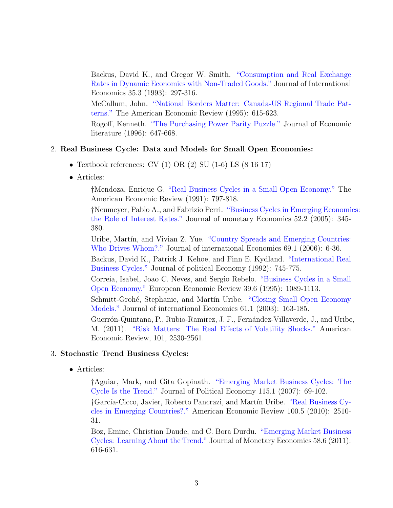Backus, David K., and Gregor W. Smith. ["Consumption and Real Exchange](http://www.econstor.eu/bitstream/10419/67733/1/733244521.pdf) [Rates in Dynamic Economies with Non-Traded Goods."](http://www.econstor.eu/bitstream/10419/67733/1/733244521.pdf) Journal of International Economics 35.3 (1993): 297-316.

McCallum, John. ["National Borders Matter: Canada-US Regional Trade Pat](http://www.jstor.org/stable/2118191)[terns."](http://www.jstor.org/stable/2118191) The American Economic Review (1995): 615-623.

Rogoff, Kenneth. ["The Purchasing Power Parity Puzzle."](http://www.jstor.org/stable/2729217) Journal of Economic literature (1996): 647-668.

#### 2. Real Business Cycle: Data and Models for Small Open Economies:

- Textbook references: CV  $(1)$  OR  $(2)$  SU  $(1-6)$  LS  $(8\ 16\ 17)$
- Articles:

†Mendoza, Enrique G. ["Real Business Cycles in a Small Open Economy."](http://www.jstor.org/stable/2006643) The American Economic Review (1991): 797-818.

†Neumeyer, Pablo A., and Fabrizio Perri. ["Business Cycles in Emerging Economi](http://www.sciencedirect.com/science/article/pii/S0304393205000036)es: [the Role of Interest Rates."](http://www.sciencedirect.com/science/article/pii/S0304393205000036) Journal of monetary Economics 52.2 (2005): 345- 380.

Uribe, Martín, and Vivian Z. Yue. ["Country Spreads and Emerging Countries:](http://www.sciencedirect.com/science/article/pii/S0022199605000620) [Who Drives Whom?."](http://www.sciencedirect.com/science/article/pii/S0022199605000620) Journal of international Economics 69.1 (2006): 6-36.

Backus, David K., Patrick J. Kehoe, and Finn E. Kydland. ["International Real](http://www.jstor.org/stable/2138686) [Business Cycles."](http://www.jstor.org/stable/2138686) Journal of political Economy (1992): 745-775.

Correia, Isabel, Joao C. Neves, and Sergio Rebelo. ["Business Cycles in a Small](http://www.sciencedirect.com/science/article/pii/0014292194001059) [Open Economy."](http://www.sciencedirect.com/science/article/pii/0014292194001059) European Economic Review 39.6 (1995): 1089-1113.

Schmitt-Grohé, Stephanie, and Martín Uribe. ["Closing Small Open Economy](http://www.sciencedirect.com/science/article/pii/S0022199602000569) [Models."](http://www.sciencedirect.com/science/article/pii/S0022199602000569) Journal of international Economics 61.1 (2003): 163-185.

Guerrón-Quintana, P., Rubio-Ramirez, J. F., Fernández-Villaverde, J., and Uribe, M. (2011). ["Risk Matters: The Real Effects of Volatility Shocks."](http://www.aeaweb.org/articles.php?doi=10.1257/aer.101.6.2530) American Economic Review, 101, 2530-2561.

#### 3. Stochastic Trend Business Cycles:

• Articles:

†Aguiar, Mark, and Gita Gopinath. ["Emerging Market Business Cycles: The](http://www.jstor.org/stable/10.1086/511283) [Cycle Is the Trend."](http://www.jstor.org/stable/10.1086/511283) Journal of Political Economy 115.1 (2007): 69-102.

†Garc´ıa-Cicco, Javier, Roberto Pancrazi, and Mart´ın Uribe. ["Real Business Cy](http://www.aeaweb.org/articles.php?f=s&doi=10.1257/aer.100.5.2510)[cles in Emerging Countries?."](http://www.aeaweb.org/articles.php?f=s&doi=10.1257/aer.100.5.2510) American Economic Review 100.5 (2010): 2510- 31.

Boz, Emine, Christian Daude, and C. Bora Durdu. ["Emerging Market Business](http://www.sciencedirect.com/science/article/pii/S0304393211001103) [Cycles: Learning About the Trend."](http://www.sciencedirect.com/science/article/pii/S0304393211001103) Journal of Monetary Economics 58.6 (2011): 616-631.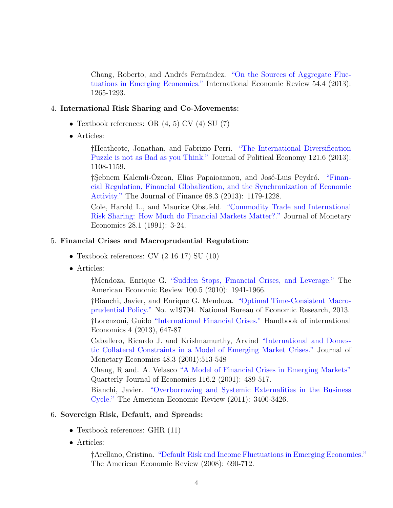Chang, Roberto, and Andrés Fernández. ["On the Sources of Aggregate Fluc](http://onlinelibrary.wiley.com/doi/10.1111/iere.12036/full)[tuations in Emerging Economies."](http://onlinelibrary.wiley.com/doi/10.1111/iere.12036/full) International Economic Review 54.4 (2013): 1265-1293.

#### 4. International Risk Sharing and Co-Movements:

- Textbook references: OR  $(4, 5)$  CV  $(4)$  SU  $(7)$
- Articles:

†Heathcote, Jonathan, and Fabrizio Perri. ["The International Diversification](http://www.jstor.org/discover/10.1086/674143?uid=3739936&uid=2&uid=4&uid=3739256&sid=21104574581003) [Puzzle is not as Bad as you Think."](http://www.jstor.org/discover/10.1086/674143?uid=3739936&uid=2&uid=4&uid=3739256&sid=21104574581003) Journal of Political Economy 121.6 (2013): 1108-1159.

†Sebnem Kalemli-Ozcan, Elias Papaioannou, and José-Luis Peydró. ["Finan](http://onlinelibrary.wiley.com/doi/10.1111/jofi.12025/abstract?deniedAccessCustomisedMessage=&userIsAuthenticated=false)[cial Regulation, Financial Globalization, and the Synchronization of Economic](http://onlinelibrary.wiley.com/doi/10.1111/jofi.12025/abstract?deniedAccessCustomisedMessage=&userIsAuthenticated=false) [Activity."](http://onlinelibrary.wiley.com/doi/10.1111/jofi.12025/abstract?deniedAccessCustomisedMessage=&userIsAuthenticated=false) The Journal of Finance 68.3 (2013): 1179-1228.

Cole, Harold L., and Maurice Obstfeld. ["Commodity Trade and International](http://www.sciencedirect.com/science/article/pii/030439329190023H) [Risk Sharing: How Much do Financial Markets Matter?."](http://www.sciencedirect.com/science/article/pii/030439329190023H) Journal of Monetary Economics 28.1 (1991): 3-24.

#### 5. Financial Crises and Macroprudential Regulation:

- Textbook references: CV (2 16 17) SU (10)
- Articles:

†Mendoza, Enrique G. ["Sudden Stops, Financial Crises, and Leverage."](http://umd.library.ingentaconnect.com/content/aea/aer/2010/00000100/00000005/art00001) The American Economic Review 100.5 (2010): 1941-1966.

†Bianchi, Javier, and Enrique G. Mendoza. ["Optimal Time-Consistent Macro](http://www.sas.upenn.edu/~egme/wp/w19704.pdf)[prudential Policy."](http://www.sas.upenn.edu/~egme/wp/w19704.pdf) No. w19704. National Bureau of Economic Research, 2013.

†Lorenzoni, Guido ["International Financial Crises."](http://faculty.wcas.northwestern.edu/~glo682/research.htm) Handbook of international Economics 4 (2013), 647-87

Caballero, Ricardo J. and Krishnamurthy, Arvind ["International and Domes](http://www.sciencedirect.com/science/article/pii/S0304393201000848)[tic Collateral Constraints in a Model of Emerging Market Crises."](http://www.sciencedirect.com/science/article/pii/S0304393201000848) Journal of Monetary Economics 48.3 (2001):513-548

Chang, R and. A. Velasco ["A Model of Financial Crises in Emerging Markets"](http://www.jstor.org/stable/2696471?seq=1#page_scan_tab_contents) Quarterly Journal of Economics 116.2 (2001): 489-517.

Bianchi, Javier. ["Overborrowing and Systemic Externalities in the Business](http://www.jstor.org/stable/41408743) [Cycle."](http://www.jstor.org/stable/41408743) The American Economic Review (2011): 3400-3426.

#### 6. Sovereign Risk, Default, and Spreads:

- Textbook references: GHR  $(11)$
- Articles:

†Arellano, Cristina. ["Default Risk and Income Fluctuations in Emerging Economies."](http://www.jstor.org/stable/29730092) The American Economic Review (2008): 690-712.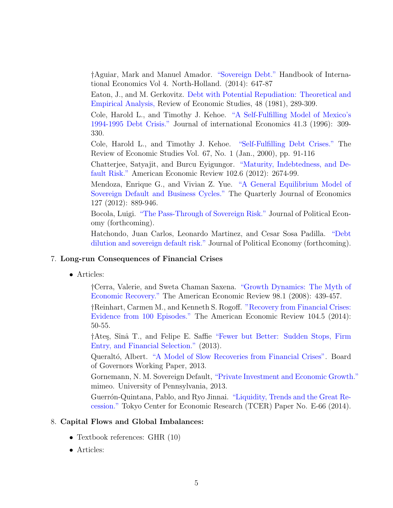†Aguiar, Mark and Manuel Amador. ["Sovereign Debt."](https://dl.dropboxusercontent.com/u/114375/Website/sovereign_debt_handbook.pdf) Handbook of International Economics Vol 4. North-Holland. (2014): 647-87

Eaton, J., and M. Gerkovitz. [Debt with Potential Repudiation: Theoretical and](http://www.jstor.org/stable/2296886?seq=1#page_scan_tab_contents) [Empirical Analysis,](http://www.jstor.org/stable/2296886?seq=1#page_scan_tab_contents) Review of Economic Studies, 48 (1981), 289-309.

Cole, Harold L., and Timothy J. Kehoe. ["A Self-Fulfilling Model of Mexico's](http://www.sciencedirect.com/science/article/pii/S0022199696014390) [1994-1995 Debt Crisis."](http://www.sciencedirect.com/science/article/pii/S0022199696014390) Journal of international Economics 41.3 (1996): 309- 330.

Cole, Harold L., and Timothy J. Kehoe. ["Self-Fulfilling Debt Crises."](http://www.jstor.org/stable/2567030?seq=1#page_scan_tab_contents) The Review of Economic Studies Vol. 67, No. 1 (Jan., 2000), pp. 91-116

Chatterjee, Satyajit, and Burcu Eyigungor. ["Maturity, Indebtedness, and De](http://www.aeaweb.org/articles.php?doi=10.1257/aer.102.6.2674)[fault Risk."](http://www.aeaweb.org/articles.php?doi=10.1257/aer.102.6.2674) American Economic Review 102.6 (2012): 2674-99.

Mendoza, Enrique G., and Vivian Z. Yue. ["A General Equilibrium Model of](http://qje.oxfordjournals.org/content/127/2/889.full.pdf+html) [Sovereign Default and Business Cycles."](http://qje.oxfordjournals.org/content/127/2/889.full.pdf+html) The Quarterly Journal of Economics 127 (2012): 889-946.

Bocola, Luigi. ["The Pass-Through of Sovereign Risk."](https://80b8ebe7-a-62cb3a1a-s-sites.googlegroups.com/site/luigibocola/home/documents-1/sovereignrisk_passthrough.pdf?attachauth=ANoY7crn_12i7QgMYLW_z3XqdAVKRNtggKBY2PcJKpFK2nhhcq5CIX6Du7LQbhwxV2Y6e8rk2TlOFdak2y5CpWi_oLqScp6vqNy4g0Hmz95bez4C-Is-d6Z9w9lziBUZycbMtdG-YsY9E0G-n37q5IKBrFNOpDqe7xjJuxIznN-27-ARauJH59MNYSt9zpUW7nrn8NF-Aj2H9aPTeZhBNzJEbiKzmPzt4GPBEpF_JrGqhj69zicMntYMaBPzbbgxcfRarHD1i7Td&attredirects=0) Journal of Political Economy (forthcoming).

Hatchondo, Juan Carlos, Leonardo Martinez, and Cesar Sosa Padilla. ["Debt](https://www.economics.mcmaster.ca/documents/department-working-papers/2014-06.pdf) [dilution and sovereign default risk."](https://www.economics.mcmaster.ca/documents/department-working-papers/2014-06.pdf) Journal of Political Economy (forthcoming).

#### 7. Long-run Consequences of Financial Crises

• Articles:

†Cerra, Valerie, and Sweta Chaman Saxena. ["Growth Dynamics: The Myth of](http://umd.library.ingentaconnect.com/content/aea/aer/2008/00000098/00000001/art00017) [Economic Recovery."](http://umd.library.ingentaconnect.com/content/aea/aer/2008/00000098/00000001/art00017) The American Economic Review 98.1 (2008): 439-457.

†Reinhart, Carmen M., and Kenneth S. Rogoff. ["Recovery from Financial Crises:](http://umd.library.ingentaconnect.com/content/aea/aer/2014/00000104/00000005/art00007) [Evidence from 100 Episodes."](http://umd.library.ingentaconnect.com/content/aea/aer/2014/00000104/00000005/art00007) The American Economic Review 104.5 (2014): 50-55.

†Ates, Sînâ T., and Felipe E. Saffie ["Fewer but Better: Sudden Stops, Firm](https://sites.google.com/site/fesaffie/research) [Entry, and Financial Selection."](https://sites.google.com/site/fesaffie/research) (2013).

Queraltó, Albert. ["A Model of Slow Recoveries from Financial Crises".](https://sites.google.com/site/albertqueralto/home/research---albert-queralto) Board of Governors Working Paper, 2013.

Gornemann, N. M. Sovereign Default, ["Private Investment and Economic Growth."](https://editorialexpress.com/cgi-bin/conference/download.cgi?db_name=NASM2014&paper_id=878) mimeo. University of Pennsylvania, 2013.

Guerrón-Quintana, Pablo, and Ryo Jinnai. ["Liquidity, Trends and the Great Re](http://www4.ncsu.edu/~njtraum/seminar/LiquidityGreatRecession.pdf)[cession."](http://www4.ncsu.edu/~njtraum/seminar/LiquidityGreatRecession.pdf) Tokyo Center for Economic Research (TCER) Paper No. E-66 (2014).

#### 8. Capital Flows and Global Imbalances:

- Textbook references: GHR  $(10)$
- Articles: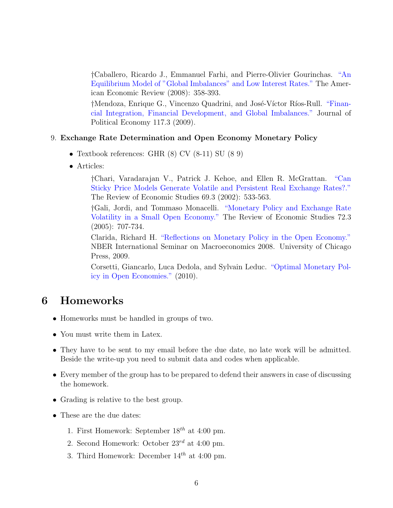†Caballero, Ricardo J., Emmanuel Farhi, and Pierre-Olivier Gourinchas. ["An](http://www.jstor.org/stable/29729975) [Equilibrium Model of "Global Imbalances" and Low Interest Rates."](http://www.jstor.org/stable/29729975) The American Economic Review (2008): 358-393.

†Mendoza, Enrique G., Vincenzo Quadrini, and José-Víctor Ríos-Rull. ["Finan](http://www.sas.upenn.edu/~egme/pp/JPEreprint.pdf)[cial Integration, Financial Development, and Global Imbalances."](http://www.sas.upenn.edu/~egme/pp/JPEreprint.pdf) Journal of Political Economy 117.3 (2009).

#### 9. Exchange Rate Determination and Open Economy Monetary Policy

- Textbook references: GHR (8) CV (8-11) SU (8 9)
- Articles:

†Chari, Varadarajan V., Patrick J. Kehoe, and Ellen R. McGrattan. ["Can](http://restud.oxfordjournals.org/content/69/3/533.short) [Sticky Price Models Generate Volatile and Persistent Real Exchange Rates?."](http://restud.oxfordjournals.org/content/69/3/533.short) The Review of Economic Studies 69.3 (2002): 533-563.

†Gali, Jordi, and Tommaso Monacelli. ["Monetary Policy and Exchange Rate](http://restud.oxfordjournals.org/content/72/3/707.short) [Volatility in a Small Open Economy."](http://restud.oxfordjournals.org/content/72/3/707.short) The Review of Economic Studies 72.3 (2005): 707-734.

Clarida, Richard H. ["Reflections on Monetary Policy in the Open Economy."](http://www.nber.org/chapters/c8235.pdf) NBER International Seminar on Macroeconomics 2008. University of Chicago Press, 2009.

Corsetti, Giancarlo, Luca Dedola, and Sylvain Leduc. ["Optimal Monetary Pol](http://cadmus.eui.eu/bitstream/handle/1814/14555/ECO_2010_35.pdf?sequence=1)[icy in Open Economies."](http://cadmus.eui.eu/bitstream/handle/1814/14555/ECO_2010_35.pdf?sequence=1) (2010).

### <span id="page-5-0"></span>6 Homeworks

- Homeworks must be handled in groups of two.
- You must write them in Latex.
- They have to be sent to my email before the due date, no late work will be admitted. Beside the write-up you need to submit data and codes when applicable.
- Every member of the group has to be prepared to defend their answers in case of discussing the homework.
- Grading is relative to the best group.
- These are the due dates:
	- 1. First Homework: September  $18^{th}$  at 4:00 pm.
	- 2. Second Homework: October  $23^{rd}$  at 4:00 pm.
	- 3. Third Homework: December  $14^{th}$  at 4:00 pm.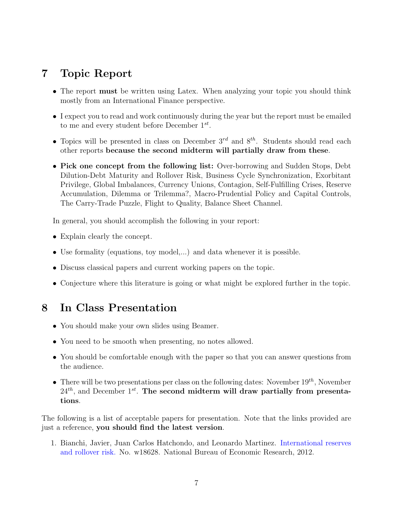## <span id="page-6-1"></span>7 Topic Report

- The report **must** be written using Latex. When analyzing your topic you should think mostly from an International Finance perspective.
- I expect you to read and work continuously during the year but the report must be emailed to me and every student before December  $1^{st}$ .
- Topics will be presented in class on December  $3^{rd}$  and  $8^{th}$ . Students should read each other reports because the second midterm will partially draw from these.
- Pick one concept from the following list: Over-borrowing and Sudden Stops, Debt Dilution-Debt Maturity and Rollover Risk, Business Cycle Synchronization, Exorbitant Privilege, Global Imbalances, Currency Unions, Contagion, Self-Fulfilling Crises, Reserve Accumulation, Dilemma or Trilemma?, Macro-Prudential Policy and Capital Controls, The Carry-Trade Puzzle, Flight to Quality, Balance Sheet Channel.

In general, you should accomplish the following in your report:

- Explain clearly the concept.
- Use formality (equations, toy model,...) and data whenever it is possible.
- Discuss classical papers and current working papers on the topic.
- Conjecture where this literature is going or what might be explored further in the topic.

### <span id="page-6-0"></span>8 In Class Presentation

- You should make your own slides using Beamer.
- You need to be smooth when presenting, no notes allowed.
- You should be comfortable enough with the paper so that you can answer questions from the audience.
- There will be two presentations per class on the following dates: November  $19^{th}$ , November  $24<sup>th</sup>$ , and December 1<sup>st</sup>. The second midterm will draw partially from presentations.

The following is a list of acceptable papers for presentation. Note that the links provided are just a reference, you should find the latest version.

1. Bianchi, Javier, Juan Carlos Hatchondo, and Leonardo Martinez. [International reserves](https://2d0c06fd6a71a2b7aefc89e331fc4cbffd73dffa.googledrive.com/host/0B28k8Kom2VDBUkVhb3gwMk1uMEU/Reserves.pdf) [and rollover risk.](https://2d0c06fd6a71a2b7aefc89e331fc4cbffd73dffa.googledrive.com/host/0B28k8Kom2VDBUkVhb3gwMk1uMEU/Reserves.pdf) No. w18628. National Bureau of Economic Research, 2012.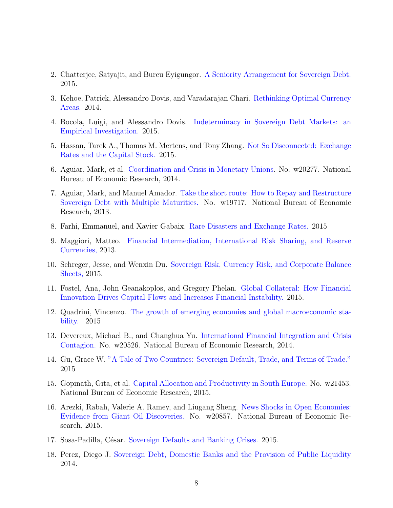- 2. Chatterjee, Satyajit, and Burcu Eyigungor. [A Seniority Arrangement for Sovereign Debt.](http://papers.ssrn.com/sol3/papers.cfm?abstract_id=2560337) 2015.
- 3. Kehoe, Patrick, Alessandro Dovis, and Varadarajan Chari. [Rethinking Optimal Currency](https://ideas.repec.org/p/red/sed014/826.html) [Areas.](https://ideas.repec.org/p/red/sed014/826.html) 2014.
- 4. Bocola, Luigi, and Alessandro Dovis. [Indeterminacy in Sovereign Debt Markets: an](http://www.alessandrodovis.com/uploads/2/3/1/2/23125624/bocoladovis_v05.pdf) [Empirical Investigation.](http://www.alessandrodovis.com/uploads/2/3/1/2/23125624/bocoladovis_v05.pdf) 2015.
- 5. Hassan, Tarek A., Thomas M. Mertens, and Tony Zhang. [Not So Disconnected: Exchange](http://papers.ssrn.com/sol3/papers.cfm?abstract_id=2611846) [Rates and the Capital Stock.](http://papers.ssrn.com/sol3/papers.cfm?abstract_id=2611846) 2015.
- 6. Aguiar, Mark, et al. [Coordination and Crisis in Monetary Unions.](http://scholar.princeton.edu/sites/default/files/monetary_union_submit_0.pdf) No. w20277. National Bureau of Economic Research, 2014.
- 7. Aguiar, Mark, and Manuel Amador. [Take the short route: How to Repay and Restructure](http://scholar.princeton.edu/sites/default/files/maturity_draft_v8_0.pdf) [Sovereign Debt with Multiple Maturities.](http://scholar.princeton.edu/sites/default/files/maturity_draft_v8_0.pdf) No. w19717. National Bureau of Economic Research, 2013.
- 8. Farhi, Emmanuel, and Xavier Gabaix. [Rare Disasters and Exchange Rates.](http://scholar.harvard.edu/files/farhi/files/rare_disasters_and_exchange_rates_june_2015.pdf) 2015
- 9. Maggiori, Matteo. [Financial Intermediation, International Risk Sharing, and Reserve](http://scholar.harvard.edu/maggiori/publications/financial-intermediation-international-risk-sharing-and-reserve-currencies) [Currencies,](http://scholar.harvard.edu/maggiori/publications/financial-intermediation-international-risk-sharing-and-reserve-currencies) 2013.
- 10. Schreger, Jesse, and Wenxin Du. [Sovereign Risk, Currency Risk, and Corporate Balance](http://scholar.harvard.edu/schreger/publications/sovereign-risk-currency-risk-and-corporate-balance-sheets-job-market-paper-be) [Sheets,](http://scholar.harvard.edu/schreger/publications/sovereign-risk-currency-risk-and-corporate-balance-sheets-job-market-paper-be) 2015.
- 11. Fostel, Ana, John Geanakoplos, and Gregory Phelan. [Global Collateral: How Financial](http://conference.nber.org/confer/2015/SI2015/IFM/Phelan_Fostel_Geanakoplos.pdf) [Innovation Drives Capital Flows and Increases Financial Instability.](http://conference.nber.org/confer/2015/SI2015/IFM/Phelan_Fostel_Geanakoplos.pdf) 2015.
- 12. Quadrini, Vincenzo. [The growth of emerging economies and global macroeconomic sta](http://conference.nber.org/confer/2015/SI2015/IFM/Quadrini.pdf)[bility.](http://conference.nber.org/confer/2015/SI2015/IFM/Quadrini.pdf) 2015
- 13. Devereux, Michael B., and Changhua Yu. [International Financial Integration and Crisis](http://conference.nber.org/confer/2015/SI2015/IFM/Devereux_Yu.pdf) [Contagion.](http://conference.nber.org/confer/2015/SI2015/IFM/Devereux_Yu.pdf) No. w20526. National Bureau of Economic Research, 2014.
- 14. Gu, Grace W. ["A Tale of Two Countries: Sovereign Default, Trade, and Terms of Trade."](https://dl.dropboxusercontent.com/u/88826561/Two_countries_paper_v10.pdf) 2015
- 15. Gopinath, Gita, et al. [Capital Allocation and Productivity in South Europe.](http://scholar.harvard.edu/gopinath/publications/capital-Allocation-And-Productivity-South-Europe) No. w21453. National Bureau of Economic Research, 2015.
- 16. Arezki, Rabah, Valerie A. Ramey, and Liugang Sheng. [News Shocks in Open Economies:](http://econweb.ucsd.edu/~vramey/research/ARS_2015Jan.pdf) [Evidence from Giant Oil Discoveries.](http://econweb.ucsd.edu/~vramey/research/ARS_2015Jan.pdf) No. w20857. National Bureau of Economic Research, 2015.
- 17. Sosa-Padilla, César. [Sovereign Defaults and Banking Crises.](https://drive.google.com/file/d/0B5YNJNoskPtuUnVaaE1pT091ak0/edit) 2015.
- 18. Perez, Diego J. [Sovereign Debt, Domestic Banks and the Provision of Public Liquidity](http://web.stanford.edu/~dperez1/Perez_JMP.pdf) 2014.